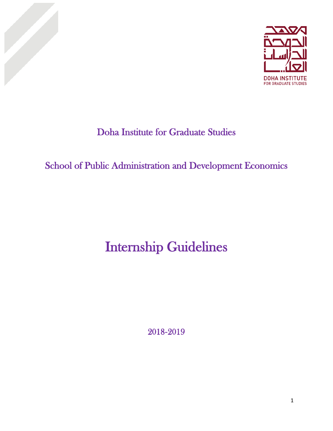



# Doha Institute for Graduate Studies

# School of Public Administration and Development Economics

# Internship Guidelines

2018**-**2019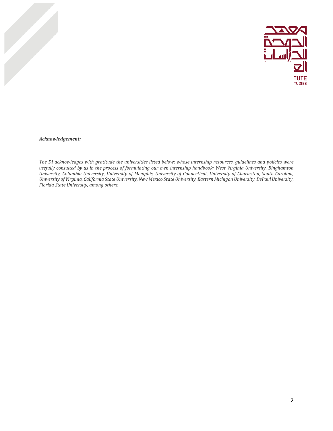

#### *Acknowledgement:*

The DI acknowledges with gratitude the universities listed below; whose internship resources, guidelines and policies were usefully consulted by us in the process of formulating our own internship handbook: West Virginia University, Binghamton *University, Columbia University, University of Memphis, University of Connecticut, University of Charleston, South Carolina,* University of Virginia, California State University, New Mexico State University, Eastern Michigan University, DePaul University, *Florida State University, among others.*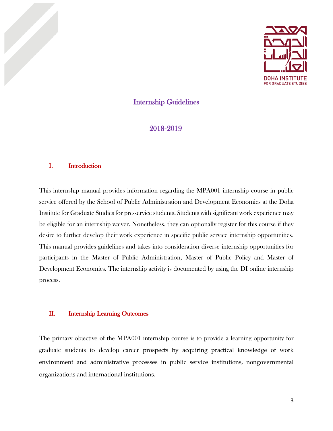

## Internship Guidelines

2018**-**2019

#### I. Introduction

This internship manual provides information regarding the MPA001 internship course in public service offered by the School of Public Administration and Development Economics at the Doha Institute for Graduate Studies for pre-service students. Students with significant work experience may be eligible for an internship waiver. Nonetheless, they can optionally register for this course if they desire to further develop their work experience in specific public service internship opportunities. This manual provides guidelines and takes into consideration diverse internship opportunities for participants in the Master of Public Administration, Master of Public Policy and Master of Development Economics. The internship activity is documented by using the DI online internship process.

#### II. Internship Learning Outcomes

The primary objective of the MPA001 internship course is to provide a learning opportunity for graduate students to develop career prospects by acquiring practical knowledge of work environment and administrative processes in public service institutions, nongovernmental organizations and international institutions.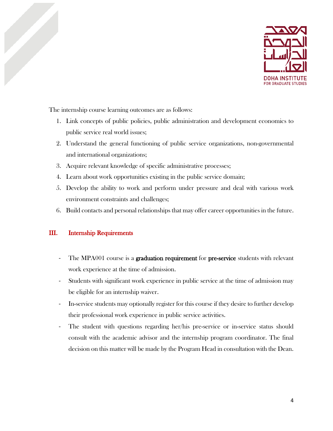

The internship course learning outcomes are as follows:

- 1. Link concepts of public policies, public administration and development economics to public service real world issues;
- 2. Understand the general functioning of public service organizations, non-governmental and international organizations;
- 3. Acquire relevant knowledge of specific administrative processes;
- 4. Learn about work opportunities existing in the public service domain;
- 5. Develop the ability to work and perform under pressure and deal with various work environment constraints and challenges;
- 6. Build contacts and personal relationships that may offer career opportunities in the future.

## III. Internship Requirements

- The MPA001 course is a graduation requirement for pre-service students with relevant work experience at the time of admission.
- Students with significant work experience in public service at the time of admission may be eligible for an internship waiver.
- In-service students may optionally register for this course if they desire to further develop their professional work experience in public service activities.
- The student with questions regarding her/his pre-service or in-service status should consult with the academic advisor and the internship program coordinator. The final decision on this matter will be made by the Program Head in consultation with the Dean.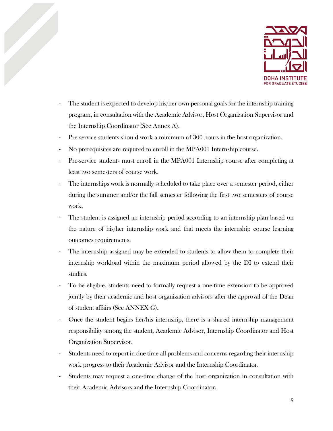

- The student is expected to develop his/her own personal goals for the internship training program, in consultation with the Academic Advisor, Host Organization Supervisor and the Internship Coordinator (See Annex A).
- Pre-service students should work a minimum of 300 hours in the host organization.
- No prerequisites are required to enroll in the MPA001 Internship course.
- Pre-service students must enroll in the MPA001 Internship course after completing at least two semesters of course work.
- The internships work is normally scheduled to take place over a semester period, either during the summer and/or the fall semester following the first two semesters of course work.
- The student is assigned an internship period according to an internship plan based on the nature of his/her internship work and that meets the internship course learning outcomes requirements.
- The internship assigned may be extended to students to allow them to complete their internship workload within the maximum period allowed by the DI to extend their studies.
- To be eligible, students need to formally request a one-time extension to be approved jointly by their academic and host organization advisors after the approval of the Dean of student affairs (See ANNEX G).
- Once the student begins her/his internship, there is a shared internship management responsibility among the student, Academic Advisor, Internship Coordinator and Host Organization Supervisor.
- Students need to report in due time all problems and concerns regarding their internship work progress to their Academic Advisor and the Internship Coordinator.
- Students may request a one-time change of the host organization in consultation with their Academic Advisors and the Internship Coordinator.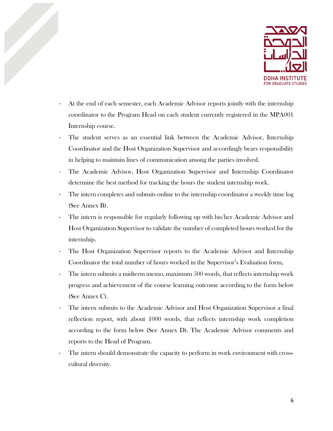

- At the end of each semester, each Academic Advisor reports jointly with the internship coordinator to the Program Head on each student currently registered in the MPA001 Internship course.
- The student serves as an essential link between the Academic Advisor, Internship Coordinator and the Host Organization Supervisor and accordingly bears responsibility in helping to maintain lines of communication among the parties involved.
- The Academic Advisor, Host Organization Supervisor and Internship Coordinator determine the best method for tracking the hours the student internship work.
- The intern completes and submits online to the internship coordinator a weekly time log (See Annex B).
- The intern is responsible for regularly following up with his/her Academic Advisor and Host Organization Supervisor to validate the number of completed hours worked for the internship.
- The Host Organization Supervisor reports to the Academic Advisor and Internship Coordinator the total number of hours worked in the Supervisor's Evaluation form.
- The intern submits a midterm memo, maximum 500 words, that reflects internship work progress and achievement of the course learning outcome according to the form below (See Annex C).
- The intern submits to the Academic Advisor and Host Organization Supervisor a final reflection report, with about 1000 words, that reflects internship work completion according to the form below (See Annex D). The Academic Advisor comments and reports to the Head of Program.
- The intern should demonstrate the capacity to perform in work environment with crosscultural diversity.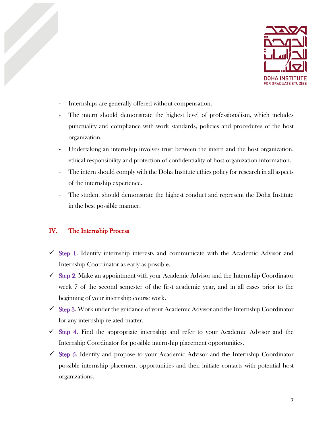

- Internships are generally offered without compensation.
- The intern should demonstrate the highest level of professionalism, which includes punctuality and compliance with work standards, policies and procedures of the host organization.
- Undertaking an internship involves trust between the intern and the host organization, ethical responsibility and protection of confidentiality of host organization information.
- The intern should comply with the Doha Institute ethics policy for research in all aspects of the internship experience.
- The student should demonstrate the highest conduct and represent the Doha Institute in the best possible manner.

## IV. The Internship Process

- $\checkmark$  Step 1. Identify internship interests and communicate with the Academic Advisor and Internship Coordinator as early as possible.
- $\checkmark$  Step 2. Make an appointment with your Academic Advisor and the Internship Coordinator week 7 of the second semester of the first academic year, and in all cases prior to the beginning of your internship course work.
- $\checkmark$  Step 3. Work under the guidance of your Academic Advisor and the Internship Coordinator for any internship related matter.
- $\checkmark$  Step 4. Find the appropriate internship and refer to your Academic Advisor and the Internship Coordinator for possible internship placement opportunities.
- $\checkmark$  Step 5. Identify and propose to your Academic Advisor and the Internship Coordinator possible internship placement opportunities and then initiate contacts with potential host organizations.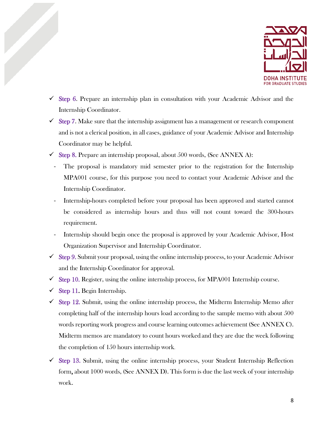

- $\checkmark$  Step 6. Prepare an internship plan in consultation with your Academic Advisor and the Internship Coordinator.
- $\checkmark$  Step 7. Make sure that the internship assignment has a management or research component and is not a clerical position, in all cases, guidance of your Academic Advisor and Internship Coordinator may be helpful.
- $\checkmark$  Step 8. Prepare an internship proposal, about 500 words, (See ANNEX A):
- The proposal is mandatory mid semester prior to the registration for the Internship MPA001 course, for this purpose you need to contact your Academic Advisor and the Internship Coordinator.
- Internship-hours completed before your proposal has been approved and started cannot be considered as internship hours and thus will not count toward the 300-hours requirement.
- Internship should begin once the proposal is approved by your Academic Advisor, Host Organization Supervisor and Internship Coordinator.
- $\checkmark$  Step 9. Submit your proposal, using the online internship process, to your Academic Advisor and the Internship Coordinator for approval.
- $\checkmark$  Step 10. Register, using the online internship process, for MPA001 Internship course.
- $\checkmark$  Step 11. Begin Internship.
- $\checkmark$  Step 12. Submit, using the online internship process, the Midterm Internship Memo after completing half of the internship hours load according to the sample memo with about 500 words reporting work progress and course learning outcomes achievement (See ANNEX C). Midterm memos are mandatory to count hours worked and they are due the week following the completion of 150 hours internship work.
- $\checkmark$  Step 13. Submit, using the online internship process, your Student Internship Reflection form, about 1000 words, (See ANNEX D). This form is due the last week of your internship work.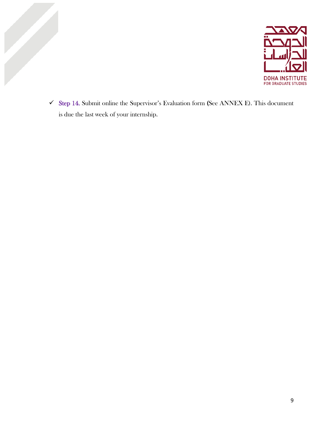

 $\checkmark$  Step 14. Submit online the Supervisor's Evaluation form (See ANNEX E). This document is due the last week of your internship.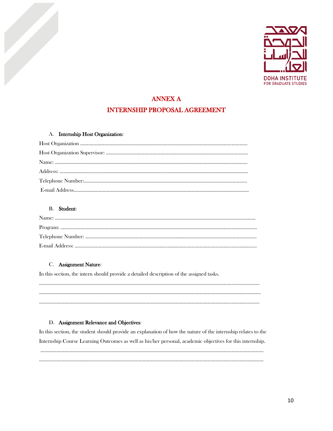

# ANNEX A INTERNSHIP PROPOSAL AGREEMENT

#### A. Internship Host Organization:

#### B. Student:

#### C. Assignment Nature:

In this section, the intern should provide a detailed description of the assigned tasks.

………………………………………….……………………………………………………………………………………………………… ………………………………………………………………………………………………………………………………………………….. ………………………………………………………………………………………………………………………………………………….

#### D. Assignment Relevance and Objectives:

In this section, the student should provide an explanation of how the nature of the internship relates to the Internship Course Learning Outcomes as well as his/her personal, academic objectives for this internship.

…………………………………………………………………………………………………………………………………………………… …………………………………………………………………………………………………………………………………………………….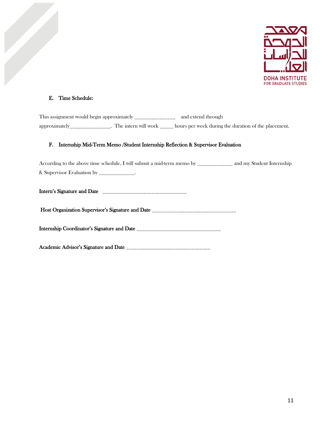

#### E. Time Schedule:

This assignment would begin approximately \_\_\_\_\_\_\_\_\_\_\_\_\_\_\_ and extend through approximately\_\_\_\_\_\_\_\_\_\_\_\_\_\_\_. The intern will work \_\_\_\_\_ hours per week during the duration of the placement.

#### F. Internship Mid-Term Memo /Student Internship Reflection & Supervisor Evaluation

According to the above time schedule, I will submit a mid-term memo by \_\_\_\_\_\_\_\_\_\_\_\_\_ and my Student Internship & Supervisor Evaluation by \_\_\_\_\_\_\_\_\_\_\_\_\_.

Intern's Signature and Date \_\_\_\_\_\_\_\_\_\_\_\_\_\_\_\_\_\_\_\_\_\_\_\_\_\_\_\_\_\_\_

Host Organization Supervisor's Signature and Date \_\_\_\_\_\_\_\_\_\_\_\_\_\_\_\_\_\_\_\_\_\_\_\_\_\_\_\_\_\_

Internship Coordinator's Signature and Date \_\_\_\_\_\_\_\_\_\_\_\_\_\_\_\_\_\_\_\_\_\_\_\_\_\_\_\_\_\_\_

Academic Advisor's Signature and Date \_\_\_\_\_\_\_\_\_\_\_\_\_\_\_\_\_\_\_\_\_\_\_\_\_\_\_\_\_\_\_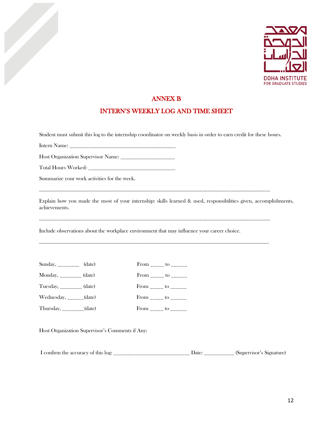

## ANNEX B

## INTERN'S WEEKLY LOG AND TIME SHEET

Student must submit this log to the internship coordinator on weekly basis in order to earn credit for these hours.

Intern Name: \_\_\_\_\_\_\_\_\_\_\_\_\_\_\_\_\_\_\_\_\_\_\_\_\_\_\_\_\_\_\_\_\_\_\_\_\_\_\_

Host Organization Supervisor Name: \_\_\_\_\_\_\_\_\_\_\_\_\_\_\_\_\_\_\_\_

Total Hours Worked: \_\_\_\_\_\_\_\_\_\_\_\_\_\_\_\_\_\_\_\_\_\_\_\_\_\_\_\_\_\_\_\_

Summarize your work activities for the week.

…………………………………………………………………………………………………………………………………………………………

Explain how you made the most of your internship: skills learned & used, responsibilities given, accomplishments, achievements.

…………………………………………………………………………………………………………………………………………………………

Include observations about the workplace environment that may influence your career choice.

………………………………………………………………………………………………………………………………………………………..

| Sunday, __________ (date)       | From $\frac{\ }{\ }$ to $\frac{\ }{\ }$ |  |
|---------------------------------|-----------------------------------------|--|
| Monday, _________ (date)        | From _____ to ______                    |  |
| Tuesday, _________ (date)       | From _____ to ______                    |  |
| Wednesday, $\frac{1}{2}$ (date) | From $\frac{\ }{\ }$ to $\frac{\ }{\ }$ |  |
| Thursday, $\frac{1}{2}$ (date)  | From _______ to _______                 |  |

Host Organization Supervisor's Comments if Any:

I confirm the accuracy of this log: \_\_\_\_\_\_\_\_\_\_\_\_\_\_\_\_\_\_\_\_\_\_\_\_\_\_\_\_ Date: \_\_\_\_\_\_\_\_\_\_\_ (Supervisor's Signature)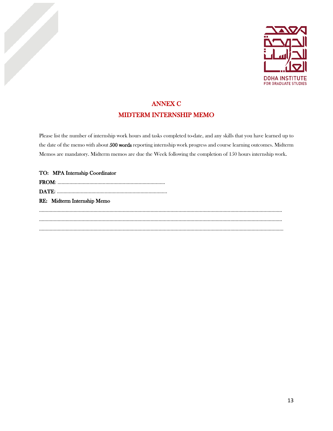

## ANNEX C MIDTERM INTERNSHIP MEMO

Please list the number of internship work hours and tasks completed to-date, and any skills that you have learned up to the date of the memo with about 500 words reporting internship work progress and course learning outcomes. Midterm Memos are mandatory. Midterm memos are due the Week following the completion of 150 hours internship work.

| TO: MPA Internship Coordinator |  |
|--------------------------------|--|
|                                |  |
|                                |  |
| RE: Midterm Internship Memo    |  |
|                                |  |
|                                |  |
|                                |  |
|                                |  |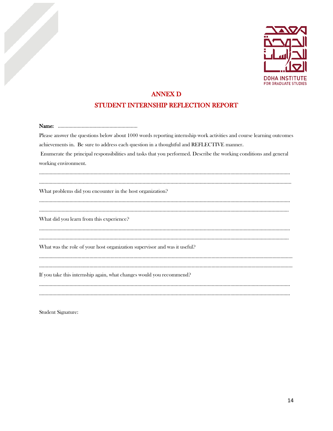

## ANNEX D

## STUDENT INTERNSHIP REFLECTION REPORT

| Please answer the questions below about 1000 words reporting internship work activities and course learning outcomes |
|----------------------------------------------------------------------------------------------------------------------|
| achievements in. Be sure to address each question in a thoughtful and REFLECTIVE manner.                             |
| Enumerate the principal responsibilities and tasks that you performed. Describe the working conditions and general   |
| working environment.                                                                                                 |
|                                                                                                                      |
| What problems did you encounter in the host organization?                                                            |
|                                                                                                                      |
| What did you learn from this experience?                                                                             |
|                                                                                                                      |
| What was the role of your host organization supervisor and was it useful?                                            |
|                                                                                                                      |
| If you take this internship again, what changes would you recommend?                                                 |
|                                                                                                                      |
|                                                                                                                      |

Student Signature: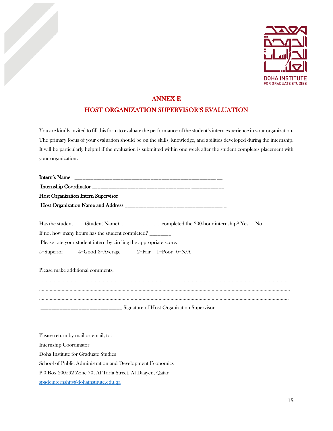

## ANNEX E HOST ORGANIZATION SUPERVISOR'S EVALUATION

You are kindly invited to fill this form to evaluate the performance of the student's intern experience in your organization. The primary focus of your evaluation should be on the skills, knowledge, and abilities developed during the internship. It will be particularly helpful if the evaluation is submitted within one week after the student completes placement with your organization.

| If no, how many hours has the student completed?                   |  |  |
|--------------------------------------------------------------------|--|--|
| Please rate your student intern by circling the appropriate score. |  |  |
| 5=Superior $4 = Good 3 = Average$ $2 = Fair 1 = Poor 0=N/A$        |  |  |
|                                                                    |  |  |

Please make additional comments.

……………………………………………………………………………………………………………………………………………………………………… ……………………………………………………………………………………………………………………………………………………………………… …………………………………………………………………………………………………………………………………………………………………….. \_\_\_\_\_\_\_\_\_\_\_\_\_\_\_\_\_\_\_\_\_\_\_\_\_\_\_\_\_\_ Signature of Host Organization Supervisor

Please return by mail or email, to: Internship Coordinator Doha Institute for Graduate Studies School of Public Administration and Development Economics P.0 Box 200592 Zone 70, Al Tarfa Street, Al Daayen, Qatar spad[einternship@dohainstitute.edu.qa](mailto:internship@dohainstitute.edu.qa)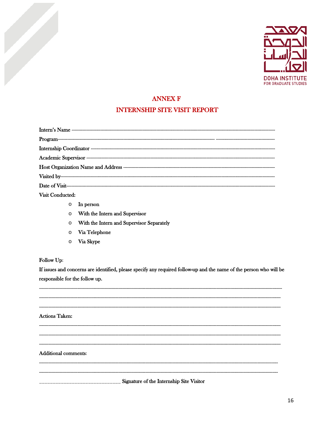

### **ANNEX F**

#### **INTERNSHIP SITE VISIT REPORT**

Visit Conducted:

- $\circ$  In person
- **o** With the Intern and Supervisor
- O With the Intern and Supervisor Separately
- $\circ$  Via Telephone
- o Via Skype

#### Follow Up:

If issues and concerns are identified, please specify any required follow-up and the name of the person who will be responsible for the follow up.